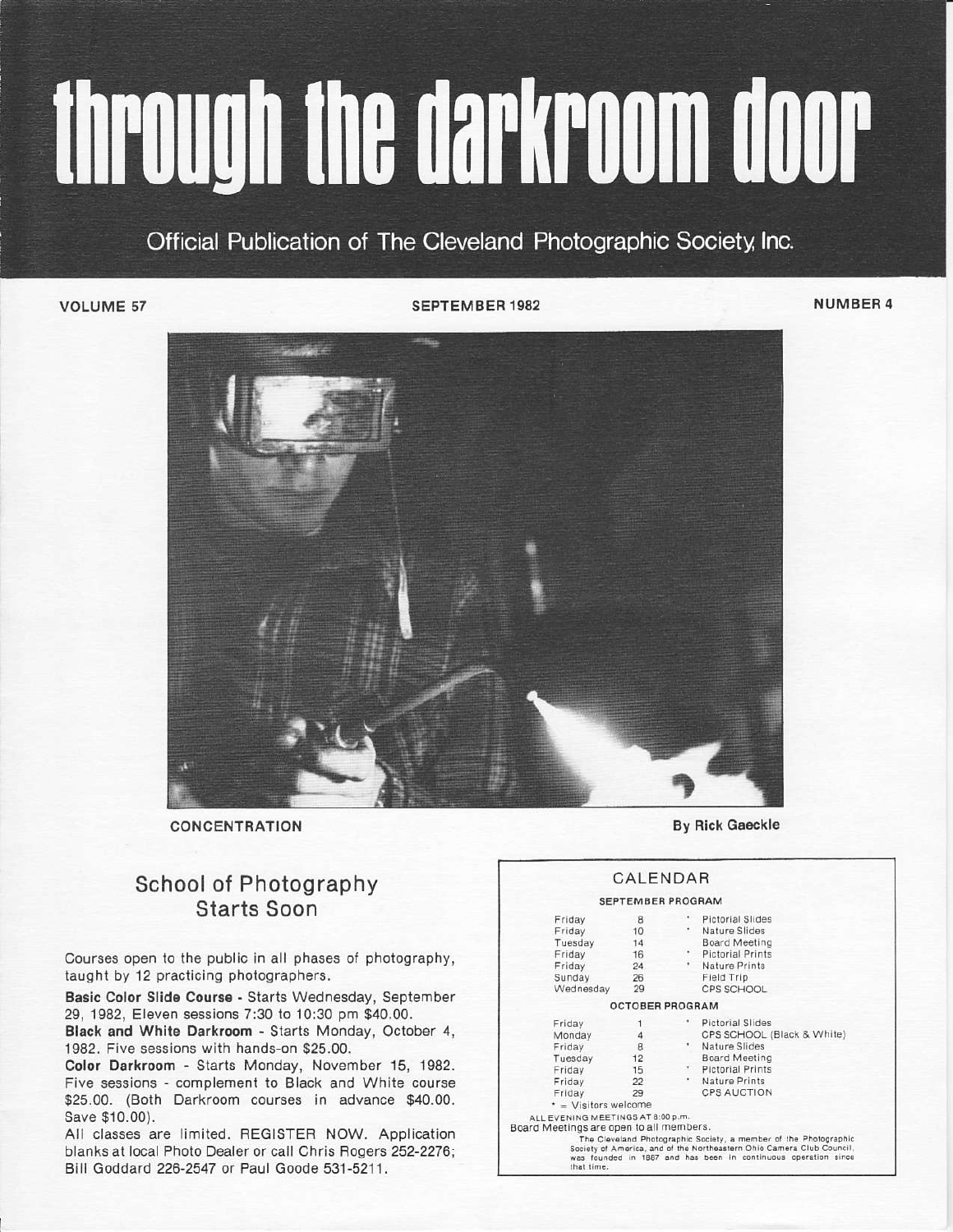# through the darkroom door

## Official Publication of The Cleveland Photographic Society, Inc.

VOLUME 57

SEPTEMBER 1982 NUMBER 4



CONCENTRATION

### School of Photography Starts Soon

Courses open to the public in all phases of photography, taught by 12 practicing photographers.

Basic Color Slide Course - Starts Wednesday, September 29, 1982, Eleven sessions 7:30 to 10:30 pm \$40.00.

Black and White Darkroom - Starts Monday, October 4, 1982. Five sessions with hands-on \$25.00.

Color Darkroom - Starts Monday, November 15, 1982. Five sessions - complement to Black and White course \$25.00. (Both Darkroom courses in advance \$40.00. Save \$10.00).

All classes are limited. REGISTER NOW. Application blanks at local Photo Dealer or call Chris Rogers 252-2276; Ball Goddard 226-2547 or Paul Goode 531-5211.

**By Rick Gaeckle** 

#### **CALENDAR**

#### SEPTEMBER PROGRAM

| Friday                                                | 8                      |           | * Pictorial Slides                                                                                                                                                                                          |
|-------------------------------------------------------|------------------------|-----------|-------------------------------------------------------------------------------------------------------------------------------------------------------------------------------------------------------------|
| Friday                                                | 10                     |           | Nature Slides                                                                                                                                                                                               |
|                                                       |                        |           |                                                                                                                                                                                                             |
| Tuesday                                               | 14                     |           | <b>Board Meeting</b>                                                                                                                                                                                        |
| Friday                                                | 16                     | ۰.        | <b>Pictorial Prints</b>                                                                                                                                                                                     |
| Friday                                                | 24                     | $\bullet$ | Nature Prints                                                                                                                                                                                               |
| Sunday                                                | 26                     |           | Field Trip                                                                                                                                                                                                  |
| Wednesday                                             | 29                     |           | CPS SCHOOL                                                                                                                                                                                                  |
|                                                       | <b>OCTOBER PROGRAM</b> |           |                                                                                                                                                                                                             |
| Friday                                                |                        |           | * Pictorial Slides                                                                                                                                                                                          |
| Monday                                                | $\boldsymbol{\Lambda}$ |           | CPS SCHOOL (Black & White)                                                                                                                                                                                  |
| Friday                                                | 8                      | $\bullet$ | Nature Slides                                                                                                                                                                                               |
| Tuesday                                               | 12                     |           | <b>Board Meeting</b>                                                                                                                                                                                        |
| Friday                                                | 15                     |           | * Pictorial Prints                                                                                                                                                                                          |
| Friday                                                | 22                     |           | * Nature Prints                                                                                                                                                                                             |
| Friday                                                | 29                     |           | <b>CPS AUCTION</b>                                                                                                                                                                                          |
| $\star$ = Visitors welcome                            |                        |           |                                                                                                                                                                                                             |
| ALL EVENING MEETINGS AT 8:00 p.m.                     |                        |           |                                                                                                                                                                                                             |
| Board Meetings are open to all members.<br>that time. |                        |           | The Cleveland Photographic Society, a member of the Photographic<br>Society of America, and of the Northeastern Ohio Camera Club Council,<br>was founded in 1887 and has been in continuous operation since |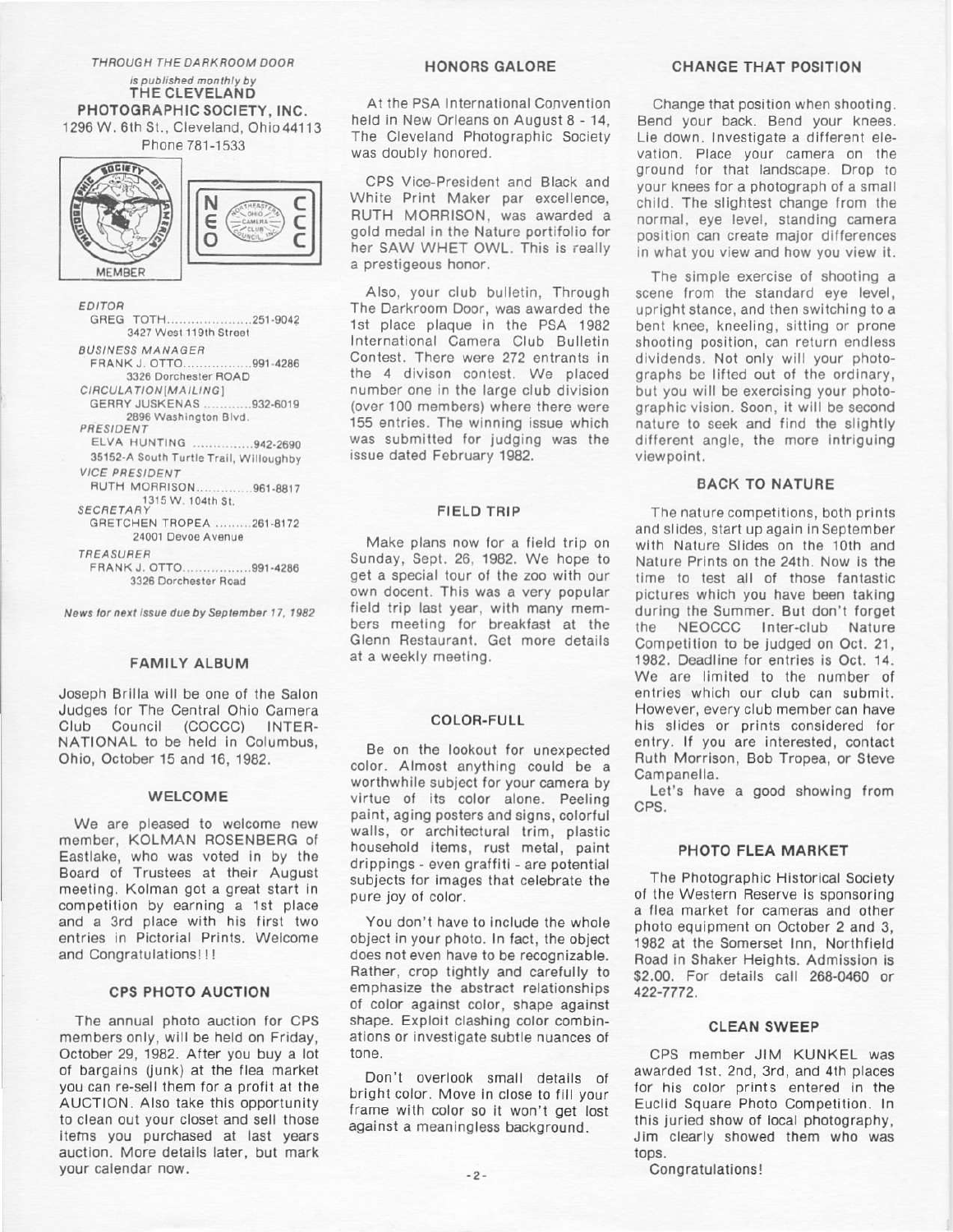#### THROUGH THE DARKROOM DOOR

is published monthly by THE CLEVELAND PHOTOGRAPHIC SOCIETY, INC. 1296 W. 6th St., Cleveland, Ohio 44113 Phone 781-1533





EDITOR GREG TOTH.....................251-9042 3427 West 119th Street **BUSINESS MANAGER** FRANK J. OTTO................991-4286 3326 Dorchester ROAD CIRCULATION[MAILING] GERRY JUSKENAS ............932-6019 2896 Washington Blvd. PRESIDENT ELVA HUNTING ...............942-2690 35152-A South Turtle Trail, Willoughby **VICE PRESIDENT** RUTH MORRISON..............961-8817 SECRETARY 1315 W. 104th St. GRETCHEN TROPEA ........261-8172 24001 Devoe Avenue TREASURER FRANK J. OTTO..................991-4286 3326 Dorchester Road

News for next issue due by September 17, 1982

#### **FAMILY ALBUM**

Joseph Brilla will be one of the Salon Judges for The Central Ohio Camera  $Cl<sub>11</sub>b$ Council (COCCC) INTER-NATIONAL to be held in Columbus, Ohio, October 15 and 16, 1982.

#### WELCOME

We are pleased to welcome new member, KOLMAN ROSENBERG of Eastlake, who was voted in by the Board of Trustees at their August meeting. Kolman got a great start in competition by earning a 1st place and a 3rd place with his first two entries in Pictorial Prints, Welcome and Congratulations!!!

#### **CPS PHOTO AUCTION**

The annual photo auction for CPS members only, will be held on Friday, October 29, 1982. After you buy a lot of bargains (junk) at the flea market you can re-sell them for a profit at the AUCTION. Also take this opportunity to clean out your closet and sell those items you purchased at last years auction. More details later, but mark your calendar now.

#### **HONORS GALORE**

At the PSA International Convention held in New Orleans on August 8 - 14. The Cleveland Photographic Society was doubly honored.

CPS Vice-President and Black and White Print Maker par excellence, RUTH MORRISON, was awarded a gold medal in the Nature portifolio for her SAW WHET OWL. This is really a prestigeous honor.

Also, your club bulletin. Through The Darkroom Door, was awarded the 1st place plaque in the PSA 1982 International Camera Club Bulletin Contest. There were 272 entrants in the 4 divison contest. We placed number one in the large club division (over 100 members) where there were 155 entries. The winning issue which was submitted for judging was the issue dated February 1982.

#### **FIELD TRIP**

Make plans now for a field trip on Sunday, Sept. 26, 1982. We hope to get a special tour of the zoo with our own docent. This was a very popular field trip last year, with many members meeting for breakfast at the Glenn Restaurant. Get more details at a weekly meeting.

#### **COLOR-FULL**

Be on the lookout for unexpected color. Almost anything could be a worthwhile subject for your camera by virtue of its color alone. Peeling paint, aging posters and signs, colorful walls, or architectural trim, plastic household items, rust metal, paint drippings - even graffiti - are potential subjects for images that celebrate the pure joy of color.

You don't have to include the whole object in your photo. In fact, the object does not even have to be recognizable. Rather, crop tightly and carefully to emphasize the abstract relationships of color against color, shape against shape. Exploit clashing color combinations or investigate subtle nuances of tone.

Don't overlook small details of bright color. Move in close to fill your frame with color so it won't get lost against a meaningless background.

#### **CHANGE THAT POSITION**

Change that position when shooting. Bend your back. Bend your knees. Lie down. Investigate a different elevation. Place your camera on the ground for that landscape. Drop to your knees for a photograph of a small child. The slightest change from the normal, eve level, standing camera position can create major differences in what you view and how you view it.

The simple exercise of shooting a scene from the standard eve level, upright stance, and then switching to a bent knee, kneeling, sitting or prone shooting position, can return endless dividends. Not only will your photographs be lifted out of the ordinary. but you will be exercising your photographic vision. Soon, it will be second nature to seek and find the slightly different angle, the more intriguing viewpoint.

#### **BACK TO NATURE**

The nature competitions, both prints and slides, start up again in September with Nature Slides on the 10th and Nature Prints on the 24th. Now is the time to test all of those fantastic pictures which you have been taking during the Summer. But don't forget NEOCCC Inter-club Nature the Competition to be judged on Oct. 21, 1982. Deadline for entries is Oct. 14. We are limited to the number of entries which our club can submit. However, every club member can have his slides or prints considered for entry. If you are interested, contact Ruth Morrison, Bob Tropea, or Steve Campanella.

Let's have a good showing from CPS.

#### PHOTO FLEA MARKET

The Photographic Historical Society of the Western Reserve is sponsoring a flea market for cameras and other photo equipment on October 2 and 3, 1982 at the Somerset Inn. Northfield Road in Shaker Heights. Admission is \$2.00. For details call 268-0460 or 422-7772.

#### **CLEAN SWEEP**

CPS member JIM KUNKEL was awarded 1st. 2nd, 3rd, and 4th places for his color prints entered in the Euclid Square Photo Competition. In this juried show of local photography, Jim clearly showed them who was tops.

Congratulations!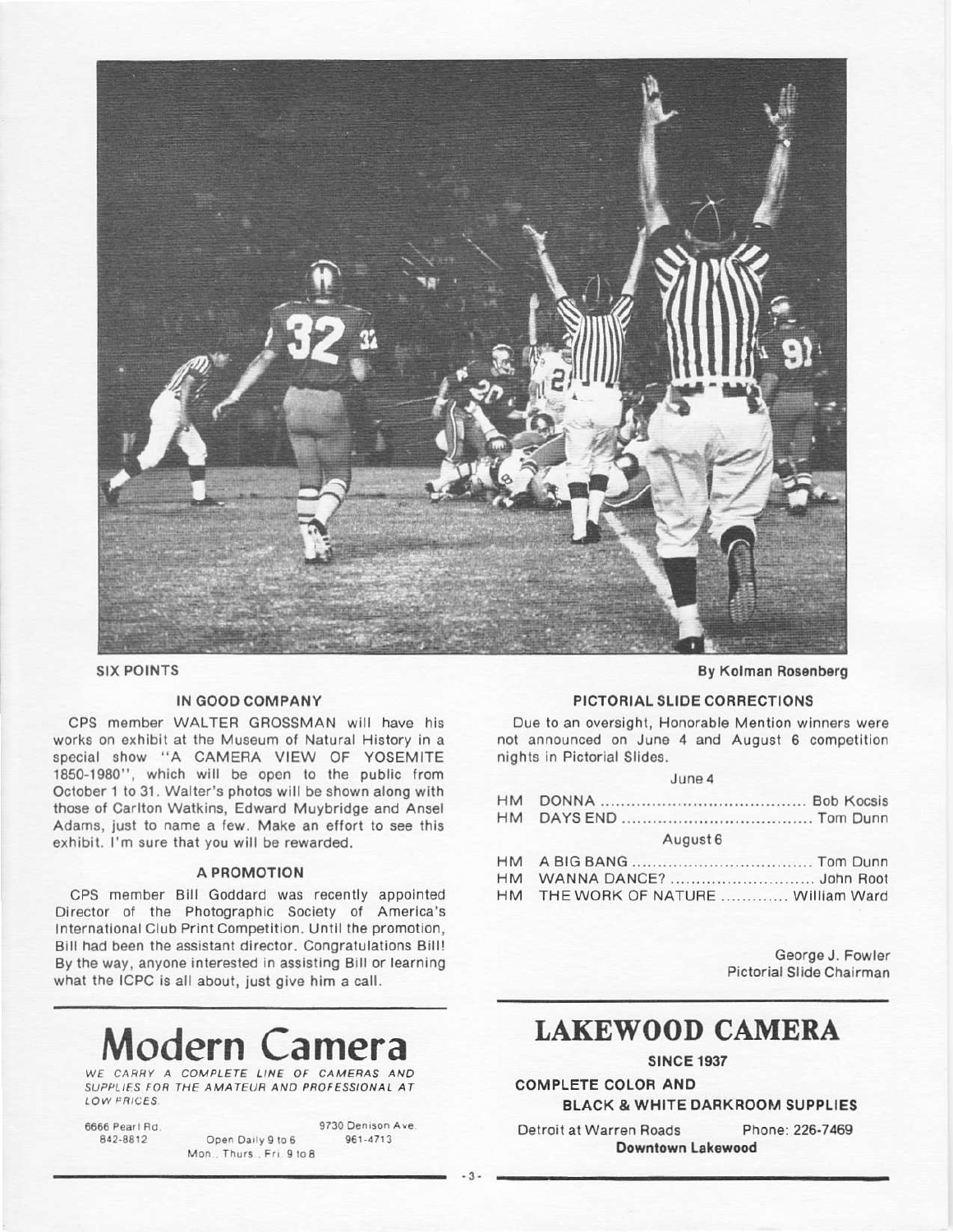

**SIX POINTS** 

#### IN GOOD COMPANY

CPS member WALTER GROSSMAN will have his works on exhibit at the Museum of Natural History in a special show "A CAMERA VIEW OF YOSEMITE 1850-1980", which will be open to the public from October 1 to 31. Walter's photos will be shown along with those of Carlton Watkins, Edward Muybridge and Ansel Adams, just to name a few. Make an effort to see this exhibit. I'm sure that you will be rewarded.

#### A PROMOTION

CPS member Bill Goddard was recently appointed Director of the Photographic Society of America's International Club Print Competition. Until the promotion, Bill had been the assistant director. Congratulations Bill! By the way, anyone interested in assisting Bill or learning what the ICPC is all about, just give him a call.

# Modern Ca

WE CARRY A COMPLETE LINE OF CAMERAS AND SUPPLIES FOR THE AMATEUR AND PROFESSIONAL AT LOW FRICES.

| 6666 Pearl Rd. |
|----------------|
| 842-8812       |

9730 Denison Ave. Open Daily 9 to 6 961-4713 Mon., Thurs., Fri. 9 to 8

**By Kolman Rosenberg** 

#### PICTORIAL SLIDE CORRECTIONS

Due to an oversight, Honorable Mention winners were not announced on June 4 and August 6 competition nights in Pictorial Slides.

|  |  | June 4 |  |
|--|--|--------|--|
|  |  |        |  |

| August 6                           |  |
|------------------------------------|--|
|                                    |  |
|                                    |  |
| HM THE WORK OF NATURE William Ward |  |

George J. Fowler Pictorial Slide Chairman

# **LAKEWOOD CAMERA**

**SINCE 1937** 

**COMPLETE COLOR AND** 

**BLACK & WHITE DARKROOM SUPPLIES** 

Phone: 226-7469 Detroit at Warren Roads Downtown Lakewood